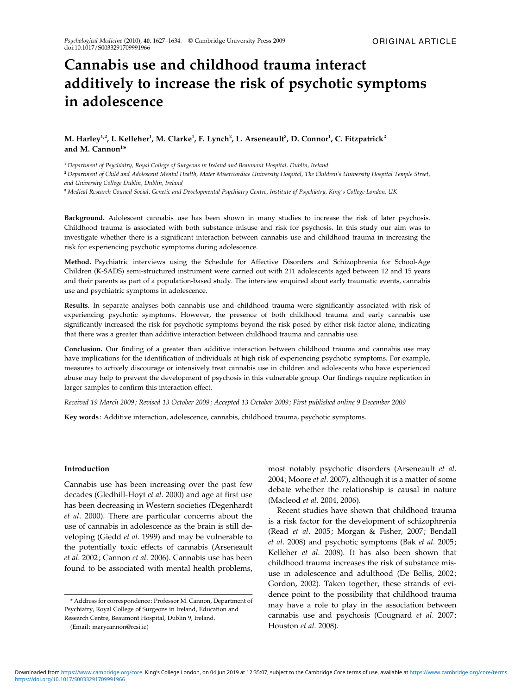# Cannabis use and childhood trauma interact additively to increase the risk of psychotic symptoms in adolescence

# M. Harley<sup>1,2</sup>, I. Kelleher<sup>1</sup>, M. Clarke<sup>1</sup>, F. Lynch<sup>2</sup>, L. Arseneault<sup>3</sup>, D. Connor<sup>1</sup>, C. Fitzpatrick<sup>2</sup> and M. Cannon $1*$

<sup>1</sup> Department of Psychiatry, Royal College of Surgeons in Ireland and Beaumont Hospital, Dublin, Ireland

<sup>2</sup> Department of Child and Adolescent Mental Health, Mater Misericordiae University Hospital, The Children's University Hospital Temple Street, and University College Dublin, Dublin, Ireland

<sup>3</sup> Medical Research Council Social, Genetic and Developmental Psychiatry Centre, Institute of Psychiatry, King's College London, UK

Background. Adolescent cannabis use has been shown in many studies to increase the risk of later psychosis. Childhood trauma is associated with both substance misuse and risk for psychosis. In this study our aim was to investigate whether there is a significant interaction between cannabis use and childhood trauma in increasing the risk for experiencing psychotic symptoms during adolescence.

Method. Psychiatric interviews using the Schedule for Affective Disorders and Schizophrenia for School-Age Children (K-SADS) semi-structured instrument were carried out with 211 adolescents aged between 12 and 15 years and their parents as part of a population-based study. The interview enquired about early traumatic events, cannabis use and psychiatric symptoms in adolescence.

Results. In separate analyses both cannabis use and childhood trauma were significantly associated with risk of experiencing psychotic symptoms. However, the presence of both childhood trauma and early cannabis use significantly increased the risk for psychotic symptoms beyond the risk posed by either risk factor alone, indicating that there was a greater than additive interaction between childhood trauma and cannabis use.

Conclusion. Our finding of a greater than additive interaction between childhood trauma and cannabis use may have implications for the identification of individuals at high risk of experiencing psychotic symptoms. For example, measures to actively discourage or intensively treat cannabis use in children and adolescents who have experienced abuse may help to prevent the development of psychosis in this vulnerable group. Our findings require replication in larger samples to confirm this interaction effect.

Received 19 March 2009 ; Revised 13 October 2009 ; Accepted 13 October 2009; First published online 9 December 2009

Key words : Additive interaction, adolescence, cannabis, childhood trauma, psychotic symptoms.

# Introduction

Cannabis use has been increasing over the past few decades (Gledhill-Hoyt et al. 2000) and age at first use has been decreasing in Western societies (Degenhardt et al. 2000). There are particular concerns about the use of cannabis in adolescence as the brain is still developing (Giedd et al. 1999) and may be vulnerable to the potentially toxic effects of cannabis (Arseneault et al. 2002; Cannon et al. 2006). Cannabis use has been found to be associated with mental health problems,

most notably psychotic disorders (Arseneault et al. 2004; Moore et al. 2007), although it is a matter of some debate whether the relationship is causal in nature (Macleod et al. 2004, 2006).

Recent studies have shown that childhood trauma is a risk factor for the development of schizophrenia (Read et al. 2005; Morgan & Fisher, 2007; Bendall et al. 2008) and psychotic symptoms (Bak et al. 2005; Kelleher et al. 2008). It has also been shown that childhood trauma increases the risk of substance misuse in adolescence and adulthood (De Bellis, 2002; Gordon, 2002). Taken together, these strands of evidence point to the possibility that childhood trauma may have a role to play in the association between cannabis use and psychosis (Cougnard et al. 2007; Houston et al. 2008).

<sup>\*</sup> Address for correspondence : Professor M. Cannon, Department of Psychiatry, Royal College of Surgeons in Ireland, Education and Research Centre, Beaumont Hospital, Dublin 9, Ireland.

<sup>(</sup>Email : marycannon@rcsi.ie)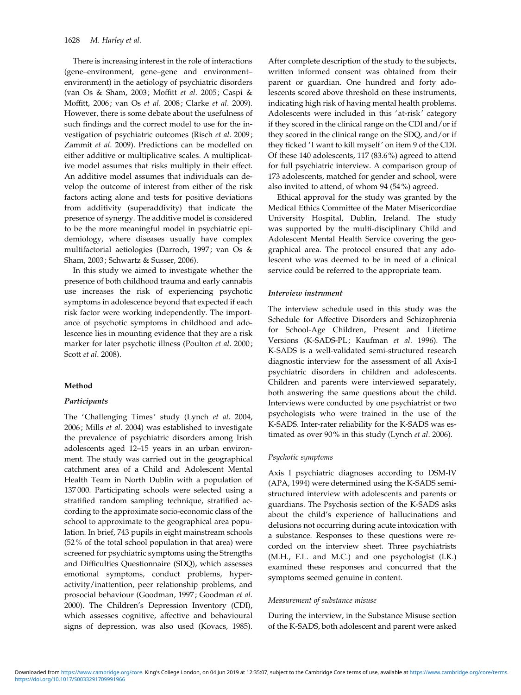There is increasing interest in the role of interactions (gene–environment, gene–gene and environment– environment) in the aetiology of psychiatric disorders (van Os & Sham, 2003; Moffitt et al. 2005; Caspi & Moffitt, 2006; van Os et al. 2008; Clarke et al. 2009). However, there is some debate about the usefulness of such findings and the correct model to use for the investigation of psychiatric outcomes (Risch et al. 2009; Zammit et al. 2009). Predictions can be modelled on either additive or multiplicative scales. A multiplicative model assumes that risks multiply in their effect. An additive model assumes that individuals can develop the outcome of interest from either of the risk factors acting alone and tests for positive deviations from additivity (superaddivity) that indicate the presence of synergy. The additive model is considered to be the more meaningful model in psychiatric epidemiology, where diseases usually have complex multifactorial aetiologies (Darroch, 1997; van Os & Sham, 2003; Schwartz & Susser, 2006).

In this study we aimed to investigate whether the presence of both childhood trauma and early cannabis use increases the risk of experiencing psychotic symptoms in adolescence beyond that expected if each risk factor were working independently. The importance of psychotic symptoms in childhood and adolescence lies in mounting evidence that they are a risk marker for later psychotic illness (Poulton et al. 2000; Scott et al. 2008).

## Method

## Participants

The 'Challenging Times' study (Lynch et al. 2004, 2006; Mills et al. 2004) was established to investigate the prevalence of psychiatric disorders among Irish adolescents aged 12–15 years in an urban environment. The study was carried out in the geographical catchment area of a Child and Adolescent Mental Health Team in North Dublin with a population of 137 000. Participating schools were selected using a stratified random sampling technique, stratified according to the approximate socio-economic class of the school to approximate to the geographical area population. In brief, 743 pupils in eight mainstream schools (52% of the total school population in that area) were screened for psychiatric symptoms using the Strengths and Difficulties Questionnaire (SDQ), which assesses emotional symptoms, conduct problems, hyperactivity/inattention, peer relationship problems, and prosocial behaviour (Goodman, 1997; Goodman et al. 2000). The Children's Depression Inventory (CDI), which assesses cognitive, affective and behavioural signs of depression, was also used (Kovacs, 1985). After complete description of the study to the subjects, written informed consent was obtained from their parent or guardian. One hundred and forty adolescents scored above threshold on these instruments, indicating high risk of having mental health problems. Adolescents were included in this 'at-risk' category if they scored in the clinical range on the CDI and/or if they scored in the clinical range on the SDQ, and/or if they ticked 'I want to kill myself' on item 9 of the CDI. Of these 140 adolescents, 117 (83.6%) agreed to attend for full psychiatric interview. A comparison group of 173 adolescents, matched for gender and school, were also invited to attend, of whom 94 (54%) agreed.

Ethical approval for the study was granted by the Medical Ethics Committee of the Mater Misericordiae University Hospital, Dublin, Ireland. The study was supported by the multi-disciplinary Child and Adolescent Mental Health Service covering the geographical area. The protocol ensured that any adolescent who was deemed to be in need of a clinical service could be referred to the appropriate team.

#### Interview instrument

The interview schedule used in this study was the Schedule for Affective Disorders and Schizophrenia for School-Age Children, Present and Lifetime Versions (K-SADS-PL; Kaufman et al. 1996). The K-SADS is a well-validated semi-structured research diagnostic interview for the assessment of all Axis-I psychiatric disorders in children and adolescents. Children and parents were interviewed separately, both answering the same questions about the child. Interviews were conducted by one psychiatrist or two psychologists who were trained in the use of the K-SADS. Inter-rater reliability for the K-SADS was estimated as over 90% in this study (Lynch et al. 2006).

## Psychotic symptoms

Axis I psychiatric diagnoses according to DSM-IV (APA, 1994) were determined using the K-SADS semistructured interview with adolescents and parents or guardians. The Psychosis section of the K-SADS asks about the child's experience of hallucinations and delusions not occurring during acute intoxication with a substance. Responses to these questions were recorded on the interview sheet. Three psychiatrists (M.H., F.L. and M.C.) and one psychologist (I.K.) examined these responses and concurred that the symptoms seemed genuine in content.

## Measurement of substance misuse

During the interview, in the Substance Misuse section of the K-SADS, both adolescent and parent were asked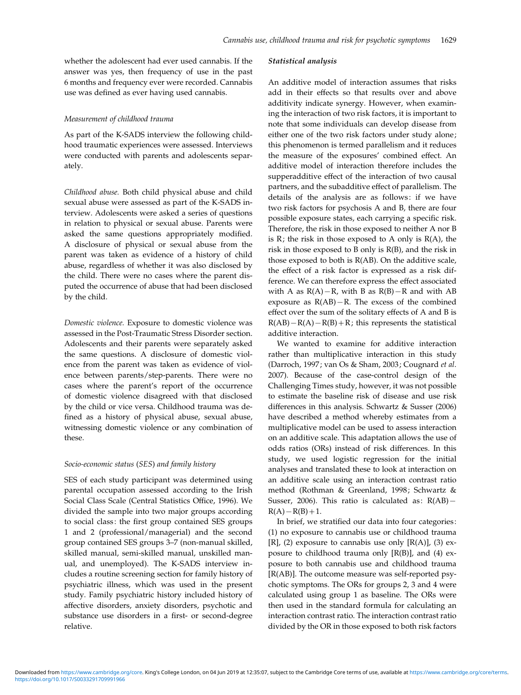whether the adolescent had ever used cannabis. If the answer was yes, then frequency of use in the past 6 months and frequency ever were recorded. Cannabis use was defined as ever having used cannabis.

#### Measurement of childhood trauma

As part of the K-SADS interview the following childhood traumatic experiences were assessed. Interviews were conducted with parents and adolescents separately.

Childhood abuse. Both child physical abuse and child sexual abuse were assessed as part of the K-SADS interview. Adolescents were asked a series of questions in relation to physical or sexual abuse. Parents were asked the same questions appropriately modified. A disclosure of physical or sexual abuse from the parent was taken as evidence of a history of child abuse, regardless of whether it was also disclosed by the child. There were no cases where the parent disputed the occurrence of abuse that had been disclosed by the child.

Domestic violence. Exposure to domestic violence was assessed in the Post-Traumatic Stress Disorder section. Adolescents and their parents were separately asked the same questions. A disclosure of domestic violence from the parent was taken as evidence of violence between parents/step-parents. There were no cases where the parent's report of the occurrence of domestic violence disagreed with that disclosed by the child or vice versa. Childhood trauma was defined as a history of physical abuse, sexual abuse, witnessing domestic violence or any combination of these.

### Socio-economic status (SES) and family history

SES of each study participant was determined using parental occupation assessed according to the Irish Social Class Scale (Central Statistics Office, 1996). We divided the sample into two major groups according to social class: the first group contained SES groups 1 and 2 (professional/managerial) and the second group contained SES groups 3–7 (non-manual skilled, skilled manual, semi-skilled manual, unskilled manual, and unemployed). The K-SADS interview includes a routine screening section for family history of psychiatric illness, which was used in the present study. Family psychiatric history included history of affective disorders, anxiety disorders, psychotic and substance use disorders in a first- or second-degree relative.

## Statistical analysis

An additive model of interaction assumes that risks add in their effects so that results over and above additivity indicate synergy. However, when examining the interaction of two risk factors, it is important to note that some individuals can develop disease from either one of the two risk factors under study alone; this phenomenon is termed parallelism and it reduces the measure of the exposures' combined effect. An additive model of interaction therefore includes the supperadditive effect of the interaction of two causal partners, and the subadditive effect of parallelism. The details of the analysis are as follows: if we have two risk factors for psychosis A and B, there are four possible exposure states, each carrying a specific risk. Therefore, the risk in those exposed to neither A nor B is  $R$ ; the risk in those exposed to A only is  $R(A)$ , the risk in those exposed to B only is R(B), and the risk in those exposed to both is R(AB). On the additive scale, the effect of a risk factor is expressed as a risk difference. We can therefore express the effect associated with A as  $R(A) - R$ , with B as  $R(B) - R$  and with AB exposure as  $R(AB) - R$ . The excess of the combined effect over the sum of the solitary effects of A and B is  $R(AB) - R(A) - R(B) + R$ ; this represents the statistical additive interaction.

We wanted to examine for additive interaction rather than multiplicative interaction in this study (Darroch, 1997; van Os & Sham, 2003; Cougnard et al. 2007). Because of the case-control design of the Challenging Times study, however, it was not possible to estimate the baseline risk of disease and use risk differences in this analysis. Schwartz & Susser (2006) have described a method whereby estimates from a multiplicative model can be used to assess interaction on an additive scale. This adaptation allows the use of odds ratios (ORs) instead of risk differences. In this study, we used logistic regression for the initial analyses and translated these to look at interaction on an additive scale using an interaction contrast ratio method (Rothman & Greenland, 1998; Schwartz & Susser, 2006). This ratio is calculated as:  $R(AB)$  - $R(A) - R(B) + 1.$ 

In brief, we stratified our data into four categories: (1) no exposure to cannabis use or childhood trauma [R], (2) exposure to cannabis use only  $[R(A)]$ , (3) exposure to childhood trauma only [R(B)], and (4) exposure to both cannabis use and childhood trauma [R(AB)]. The outcome measure was self-reported psychotic symptoms. The ORs for groups 2, 3 and 4 were calculated using group 1 as baseline. The ORs were then used in the standard formula for calculating an interaction contrast ratio. The interaction contrast ratio divided by the OR in those exposed to both risk factors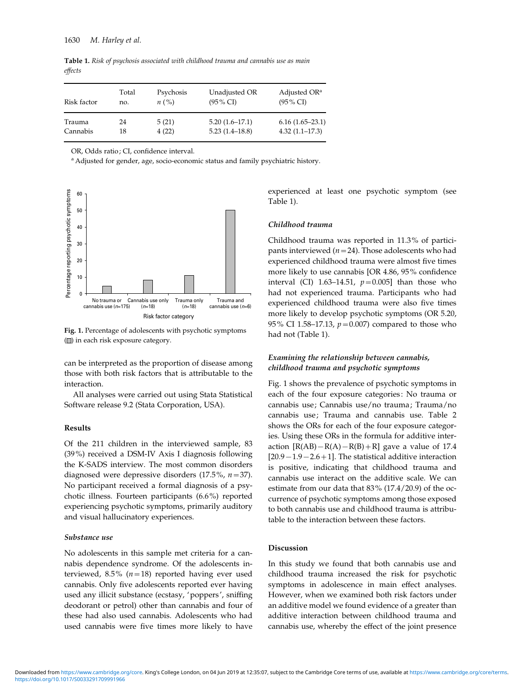Table 1. Risk of psychosis associated with childhood trauma and cannabis use as main effects

| Risk factor | Total | Psychosis                   | Unadjusted OR       | Adjusted OR <sup>a</sup> |
|-------------|-------|-----------------------------|---------------------|--------------------------|
|             | no.   | $n\left(\frac{9}{6}\right)$ | $(95\% \text{ CI})$ | $(95\% \text{ CI})$      |
| Trauma      | 24    | 5(21)                       | $5.20(1.6-17.1)$    | $6.16(1.65-23.1)$        |
| Cannabis    | 18    | 4(22)                       | $5.23(1.4-18.8)$    | $4.32(1.1-17.3)$         |

OR, Odds ratio ; CI, confidence interval.

a Adjusted for gender, age, socio-economic status and family psychiatric history.



Fig. 1. Percentage of adolescents with psychotic symptoms ( $\Box$ ) in each risk exposure category.

can be interpreted as the proportion of disease among those with both risk factors that is attributable to the interaction.

All analyses were carried out using Stata Statistical Software release 9.2 (Stata Corporation, USA).

## Results

Of the 211 children in the interviewed sample, 83 (39%) received a DSM-IV Axis I diagnosis following the K-SADS interview. The most common disorders diagnosed were depressive disorders  $(17.5\%, n=37)$ . No participant received a formal diagnosis of a psychotic illness. Fourteen participants (6.6%) reported experiencing psychotic symptoms, primarily auditory and visual hallucinatory experiences.

## Substance use

No adolescents in this sample met criteria for a cannabis dependence syndrome. Of the adolescents interviewed, 8.5% ( $n=18$ ) reported having ever used cannabis. Only five adolescents reported ever having used any illicit substance (ecstasy, 'poppers', sniffing deodorant or petrol) other than cannabis and four of these had also used cannabis. Adolescents who had used cannabis were five times more likely to have experienced at least one psychotic symptom (see Table 1).

#### Childhood trauma

Childhood trauma was reported in 11.3% of participants interviewed ( $n=24$ ). Those adolescents who had experienced childhood trauma were almost five times more likely to use cannabis [OR 4.86, 95% confidence interval (CI) 1.63-14.51,  $p=0.005$ ] than those who had not experienced trauma. Participants who had experienced childhood trauma were also five times more likely to develop psychotic symptoms (OR 5.20, 95% CI 1.58-17.13,  $p=0.007$ ) compared to those who had not (Table 1).

# Examining the relationship between cannabis, childhood trauma and psychotic symptoms

Fig. 1 shows the prevalence of psychotic symptoms in each of the four exposure categories: No trauma or cannabis use; Cannabis use/no trauma; Trauma/no cannabis use; Trauma and cannabis use. Table 2 shows the ORs for each of the four exposure categories. Using these ORs in the formula for additive interaction  $[R(AB) - R(A) - R(B) + R]$  gave a value of 17.4  $[20.9-1.9-2.6+1]$ . The statistical additive interaction is positive, indicating that childhood trauma and cannabis use interact on the additive scale. We can estimate from our data that 83% (17.4/20.9) of the occurrence of psychotic symptoms among those exposed to both cannabis use and childhood trauma is attributable to the interaction between these factors.

## Discussion

In this study we found that both cannabis use and childhood trauma increased the risk for psychotic symptoms in adolescence in main effect analyses. However, when we examined both risk factors under an additive model we found evidence of a greater than additive interaction between childhood trauma and cannabis use, whereby the effect of the joint presence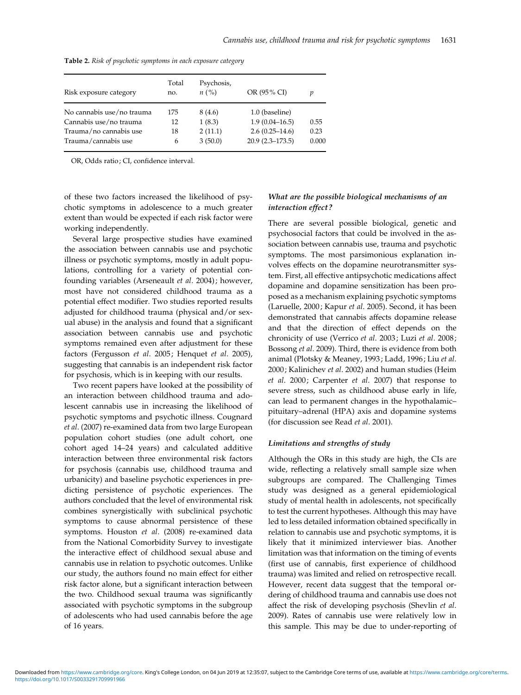|                           | Total | Psychosis,                            |                     |       |
|---------------------------|-------|---------------------------------------|---------------------|-------|
| Risk exposure category    | no.   | $n\left(\frac{\theta}{\theta}\right)$ | OR (95% CI)         |       |
| No cannabis use/no trauma | 175   | 8 (4.6)                               | 1.0 (baseline)      |       |
| Cannabis use/no trauma    | 12    | 1(8.3)                                | $1.9(0.04 - 16.5)$  | 0.55  |
| Trauma/no cannabis use    | 18    | 2(11.1)                               | $2.6(0.25-14.6)$    | 0.23  |
| Trauma/cannabis use       | 6     | 3(50.0)                               | $20.9(2.3 - 173.5)$ | 0.000 |

Table 2. Risk of psychotic symptoms in each exposure category

OR, Odds ratio ; CI, confidence interval.

of these two factors increased the likelihood of psychotic symptoms in adolescence to a much greater extent than would be expected if each risk factor were working independently.

Several large prospective studies have examined the association between cannabis use and psychotic illness or psychotic symptoms, mostly in adult populations, controlling for a variety of potential confounding variables (Arseneault et al. 2004); however, most have not considered childhood trauma as a potential effect modifier. Two studies reported results adjusted for childhood trauma (physical and/or sexual abuse) in the analysis and found that a significant association between cannabis use and psychotic symptoms remained even after adjustment for these factors (Fergusson et al. 2005; Henquet et al. 2005), suggesting that cannabis is an independent risk factor for psychosis, which is in keeping with our results.

Two recent papers have looked at the possibility of an interaction between childhood trauma and adolescent cannabis use in increasing the likelihood of psychotic symptoms and psychotic illness. Cougnard et al. (2007) re-examined data from two large European population cohort studies (one adult cohort, one cohort aged 14–24 years) and calculated additive interaction between three environmental risk factors for psychosis (cannabis use, childhood trauma and urbanicity) and baseline psychotic experiences in predicting persistence of psychotic experiences. The authors concluded that the level of environmental risk combines synergistically with subclinical psychotic symptoms to cause abnormal persistence of these symptoms. Houston et al. (2008) re-examined data from the National Comorbidity Survey to investigate the interactive effect of childhood sexual abuse and cannabis use in relation to psychotic outcomes. Unlike our study, the authors found no main effect for either risk factor alone, but a significant interaction between the two. Childhood sexual trauma was significantly associated with psychotic symptoms in the subgroup of adolescents who had used cannabis before the age of 16 years.

# What are the possible biological mechanisms of an interaction effect ?

There are several possible biological, genetic and psychosocial factors that could be involved in the association between cannabis use, trauma and psychotic symptoms. The most parsimonious explanation involves effects on the dopamine neurotransmitter system. First, all effective antipsychotic medications affect dopamine and dopamine sensitization has been proposed as a mechanism explaining psychotic symptoms (Laruelle, 2000; Kapur et al. 2005). Second, it has been demonstrated that cannabis affects dopamine release and that the direction of effect depends on the chronicity of use (Verrico et al. 2003; Luzi et al. 2008; Bossong et al. 2009). Third, there is evidence from both animal (Plotsky & Meaney, 1993; Ladd, 1996; Liu et al. 2000; Kalinichev et al. 2002) and human studies (Heim et al. 2000; Carpenter et al. 2007) that response to severe stress, such as childhood abuse early in life, can lead to permanent changes in the hypothalamic– pituitary–adrenal (HPA) axis and dopamine systems (for discussion see Read et al. 2001).

# Limitations and strengths of study

Although the ORs in this study are high, the CIs are wide, reflecting a relatively small sample size when subgroups are compared. The Challenging Times study was designed as a general epidemiological study of mental health in adolescents, not specifically to test the current hypotheses. Although this may have led to less detailed information obtained specifically in relation to cannabis use and psychotic symptoms, it is likely that it minimized interviewer bias. Another limitation was that information on the timing of events (first use of cannabis, first experience of childhood trauma) was limited and relied on retrospective recall. However, recent data suggest that the temporal ordering of childhood trauma and cannabis use does not affect the risk of developing psychosis (Shevlin et al. 2009). Rates of cannabis use were relatively low in this sample. This may be due to under-reporting of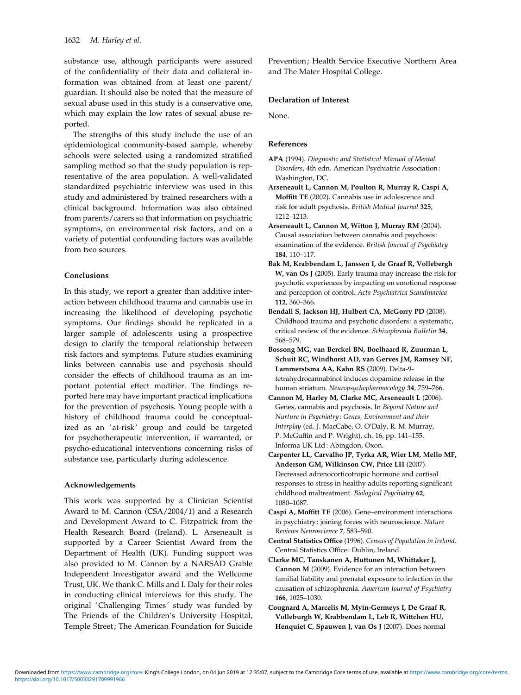substance use, although participants were assured of the confidentiality of their data and collateral information was obtained from at least one parent/ guardian. It should also be noted that the measure of sexual abuse used in this study is a conservative one, which may explain the low rates of sexual abuse reported.

The strengths of this study include the use of an epidemiological community-based sample, whereby schools were selected using a randomized stratified sampling method so that the study population is representative of the area population. A well-validated standardized psychiatric interview was used in this study and administered by trained researchers with a clinical background. Information was also obtained from parents/carers so that information on psychiatric symptoms, on environmental risk factors, and on a variety of potential confounding factors was available from two sources.

# Conclusions

In this study, we report a greater than additive interaction between childhood trauma and cannabis use in increasing the likelihood of developing psychotic symptoms. Our findings should be replicated in a larger sample of adolescents using a prospective design to clarify the temporal relationship between risk factors and symptoms. Future studies examining links between cannabis use and psychosis should consider the effects of childhood trauma as an important potential effect modifier. The findings reported here may have important practical implications for the prevention of psychosis. Young people with a history of childhood trauma could be conceptualized as an 'at-risk' group and could be targeted for psychotherapeutic intervention, if warranted, or psycho-educational interventions concerning risks of substance use, particularly during adolescence.

## Acknowledgements

This work was supported by a Clinician Scientist Award to M. Cannon (CSA/2004/1) and a Research and Development Award to C. Fitzpatrick from the Health Research Board (Ireland). L. Arseneault is supported by a Career Scientist Award from the Department of Health (UK). Funding support was also provided to M. Cannon by a NARSAD Grable Independent Investigator award and the Wellcome Trust, UK. We thank C. Mills and I. Daly for their roles in conducting clinical interviews for this study. The original 'Challenging Times' study was funded by The Friends of the Children's University Hospital, Temple Street; The American Foundation for Suicide

Prevention; Health Service Executive Northern Area and The Mater Hospital College.

# Declaration of Interest

None.

## References

APA (1994). Diagnostic and Statistical Manual of Mental Disorders, 4th edn. American Psychiatric Association : Washington, DC.

Arseneault L, Cannon M, Poulton R, Murray R, Caspi A, Moffitt TE (2002). Cannabis use in adolescence and risk for adult psychosis. British Medical Journal 325, 1212–1213.

Arseneault L, Cannon M, Witton J, Murray RM (2004). Causal association between cannabis and psychosis : examination of the evidence. British Journal of Psychiatry 184, 110–117.

Bak M, Krabbendam L, Janssen I, de Graaf R, Vollebergh W, van Os I (2005). Early trauma may increase the risk for psychotic experiences by impacting on emotional response and perception of control. Acta Psychiatrica Scandinavica 112, 360–366.

- Bendall S, Jackson HJ, Hulbert CA, McGorry PD (2008). Childhood trauma and psychotic disorders : a systematic, critical review of the evidence. Schizophrenia Bulletin 34, 568–579.
- Bossong MG, van Berckel BN, Boelhaard R, Zuurman L, Schuit RC, Windhorst AD, van Gerves JM, Ramsey NF, Lammerstsma AA, Kahn RS (2009). Delta-9 tetrahydrocannabinol induces dopamine release in the human striatum. Neuropsychopharmacology 34, 759–766.
- Cannon M, Harley M, Clarke MC, Arseneault L (2006). Genes, cannabis and psychosis. In Beyond Nature and Nurture in Psychiatry : Genes, Environment and their Interplay (ed. J. MacCabe, O. O'Daly, R. M. Murray, P. McGuffin and P. Wright), ch. 16, pp. 141–155. Informa UK Ltd : Abingdon, Oxon.
- Carpenter LL, Carvalho JP, Tyrka AR, Wier LM, Mello MF, Anderson GM, Wilkinson CW, Price LH (2007). Decreased adrenocorticotropic hormone and cortisol responses to stress in healthy adults reporting significant childhood maltreatment. Biological Psychiatry 62, 1080–1087.
- Caspi A, Moffitt TE (2006). Gene–environment interactions in psychiatry : joining forces with neuroscience. Nature Reviews Neuroscience 7, 583–590.
- Central Statistics Office (1996). Census of Population in Ireland. Central Statistics Office: Dublin, Ireland.
- Clarke MC, Tanskanen A, Huttunen M, Whittaker J, Cannon M (2009). Evidence for an interaction between familial liability and prenatal exposure to infection in the causation of schizophrenia. American Journal of Psychiatry 166, 1025–1030.
- Cougnard A, Marcelis M, Myin-Germeys I, De Graaf R, Volleburgh W, Krabbendam L, Leb R, Wittchen HU, Henquiet C, Spauwen J, van Os J (2007). Does normal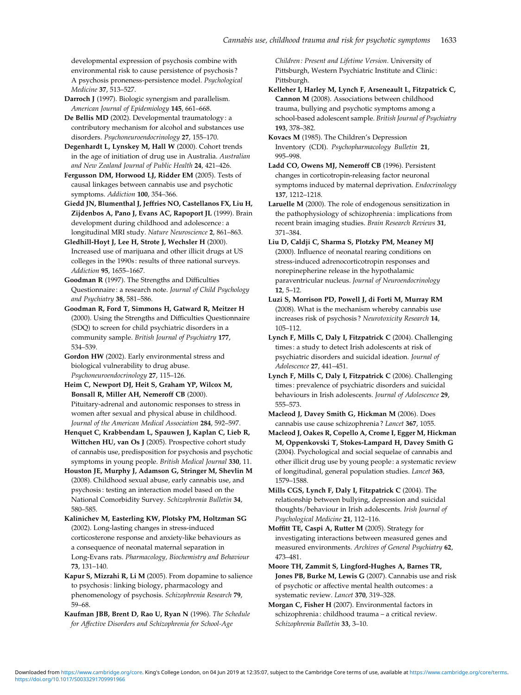developmental expression of psychosis combine with environmental risk to cause persistence of psychosis ? A psychosis proneness-persistence model. Psychological Medicine 37, 513–527.

Darroch J (1997). Biologic synergism and parallelism. American Journal of Epidemiology 145, 661–668.

De Bellis MD (2002). Developmental traumatology : a contributory mechanism for alcohol and substances use disorders. Psychoneuroendocrinology 27, 155–170.

Degenhardt L, Lynskey M, Hall W (2000). Cohort trends in the age of initiation of drug use in Australia. Australian and New Zealand Journal of Public Health 24, 421–426.

Fergusson DM, Horwood LJ, Ridder EM (2005). Tests of causal linkages between cannabis use and psychotic symptoms. Addiction 100, 354–366.

Giedd JN, Blumenthal J, Jeffries NO, Castellanos FX, Liu H, Zijdenbos A, Pano J, Evans AC, Rapoport JL (1999). Brain development during childhood and adolescence : a longitudinal MRI study. Nature Neuroscience 2, 861–863.

Gledhill-Hoyt J, Lee H, Strote J, Wechsler H (2000). Increased use of marijuana and other illicit drugs at US colleges in the 1990s : results of three national surveys. Addiction 95, 1655–1667.

Goodman R (1997). The Strengths and Difficulties Questionnaire : a research note. Journal of Child Psychology and Psychiatry 38, 581–586.

Goodman R, Ford T, Simmons H, Gatward R, Meitzer H (2000). Using the Strengths and Difficulties Questionnaire (SDQ) to screen for child psychiatric disorders in a community sample. British Journal of Psychiatry 177, 534–539.

Gordon HW (2002). Early environmental stress and biological vulnerability to drug abuse. Psychoneuroendocrinology 27, 115–126.

Heim C, Newport DJ, Heit S, Graham YP, Wilcox M, Bonsall R, Miller AH, Nemeroff CB (2000). Pituitary-adrenal and autonomic responses to stress in women after sexual and physical abuse in childhood. Journal of the American Medical Association 284, 592–597.

Henquet C, Krabbendam L, Spauwen J, Kaplan C, Lieb R, Wittchen HU, van Os J (2005). Prospective cohort study of cannabis use, predisposition for psychosis and psychotic symptoms in young people. British Medical Journal 330, 11.

Houston JE, Murphy J, Adamson G, Stringer M, Shevlin M (2008). Childhood sexual abuse, early cannabis use, and psychosis : testing an interaction model based on the National Comorbidity Survey. Schizophrenia Bulletin 34, 580–585.

Kalinichev M, Easterling KW, Plotsky PM, Holtzman SG (2002). Long-lasting changes in stress-induced corticosterone response and anxiety-like behaviours as a consequence of neonatal maternal separation in Long-Evans rats. Pharmacology, Biochemistry and Behaviour 73, 131–140.

Kapur S, Mizrahi R, Li M (2005). From dopamine to salience to psychosis : linking biology, pharmacology and phenomenology of psychosis. Schizophrenia Research 79, 59–68.

Kaufman JBB, Brent D, Rao U, Ryan N (1996). The Schedule for Affective Disorders and Schizophrenia for School-Age

Children : Present and Lifetime Version. University of Pittsburgh, Western Psychiatric Institute and Clinic : Pittsburgh.

Kelleher I, Harley M, Lynch F, Arseneault L, Fitzpatrick C, Cannon M (2008). Associations between childhood trauma, bullying and psychotic symptoms among a school-based adolescent sample. British Journal of Psychiatry 193, 378–382.

Kovacs M (1985). The Children's Depression Inventory (CDI). Psychopharmacology Bulletin 21, 995–998.

Ladd CO, Owens MJ, Nemeroff CB (1996). Persistent changes in corticotropin-releasing factor neuronal symptoms induced by maternal deprivation. Endocrinology 137, 1212–1218.

Laruelle M (2000). The role of endogenous sensitization in the pathophysiology of schizophrenia : implications from recent brain imaging studies. Brain Research Reviews 31, 371–384.

Liu D, Caldji C, Sharma S, Plotzky PM, Meaney MJ (2000). Influence of neonatal rearing conditions on stress-induced adrenocorticotropin responses and norepinepherine release in the hypothalamic paraventricular nucleus. Journal of Neuroendocrinology 12, 5–12.

Luzi S, Morrison PD, Powell J, di Forti M, Murray RM (2008). What is the mechanism whereby cannabis use increases risk of psychosis ? Neurotoxicity Research 14, 105–112.

Lynch F, Mills C, Daly I, Fitzpatrick C (2004). Challenging times : a study to detect Irish adolescents at risk of psychiatric disorders and suicidal ideation. Journal of Adolescence 27, 441–451.

Lynch F, Mills C, Daly I, Fitzpatrick C (2006). Challenging times : prevalence of psychiatric disorders and suicidal behaviours in Irish adolescents. Journal of Adolescence 29, 555–573.

Macleod J, Davey Smith G, Hickman M (2006). Does cannabis use cause schizophrenia ? Lancet 367, 1055.

Macleod J, Oakes R, Copello A, Crome I, Egger M, Hickman M, Oppenkovski T, Stokes-Lampard H, Davey Smith G (2004). Psychological and social sequelae of cannabis and other illicit drug use by young people: a systematic review of longitudinal, general population studies. Lancet 363, 1579–1588.

Mills CGS, Lynch F, Daly I, Fitzpatrick C (2004). The relationship between bullying, depression and suicidal thoughts/behaviour in Irish adolescents. Irish Journal of Psychological Medicine 21, 112–116.

Moffitt TE, Caspi A, Rutter M (2005). Strategy for investigating interactions between measured genes and measured environments. Archives of General Psychiatry 62, 473–481.

Moore TH, Zammit S, Lingford-Hughes A, Barnes TR, Jones PB, Burke M, Lewis G (2007). Cannabis use and risk of psychotic or affective mental health outcomes : a systematic review. Lancet 370, 319–328.

Morgan C, Fisher H (2007). Environmental factors in schizophrenia : childhood trauma – a critical review. Schizophrenia Bulletin 33, 3–10.